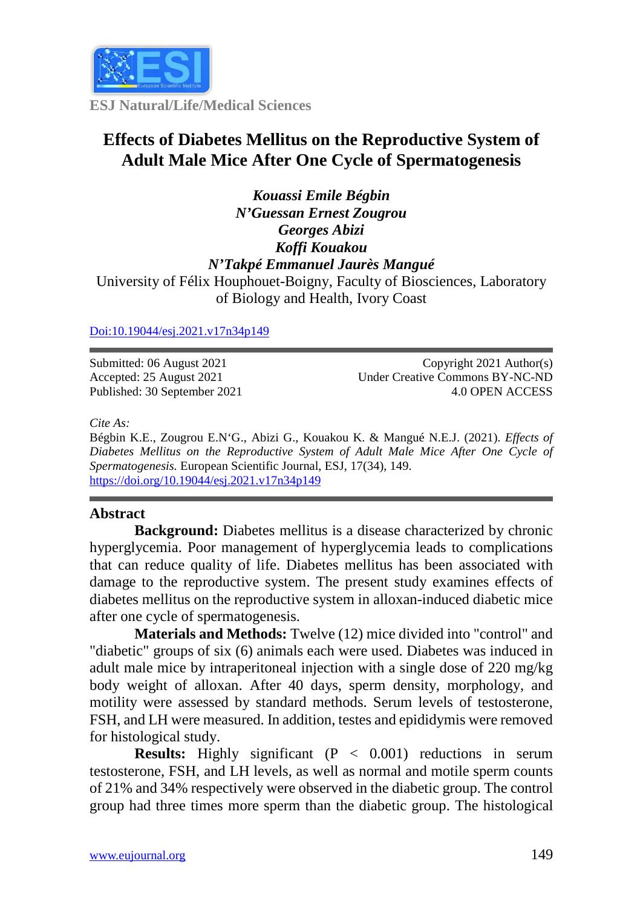

**ESJ Natural/Life/Medical Sciences**

# **Effects of Diabetes Mellitus on the Reproductive System of Adult Male Mice After One Cycle of Spermatogenesis**

*Kouassi Emile Bégbin N'Guessan Ernest Zougrou Georges Abizi Koffi Kouakou N'Takpé Emmanuel Jaurès Mangué* University of Félix Houphouet-Boigny, Faculty of Biosciences, Laboratory of Biology and Health, Ivory Coast

[Doi:10.19044/esj.2021.v17n34p149](https://doi.org/10.19044/esj.2021.v17n29p1)

Submitted: 06 August 2021 Accepted: 25 August 2021 Published: 30 September 2021

Copyright 2021 Author(s) Under Creative Commons BY-NC-ND 4.0 OPEN ACCESS

*Cite As:*

Bégbin K.E., Zougrou E.N'G., Abizi G., Kouakou K. & Mangué N.E.J. (2021). *Effects of Diabetes Mellitus on the Reproductive System of Adult Male Mice After One Cycle of Spermatogenesis.* European Scientific Journal, ESJ, 17(34), 149. <https://doi.org/10.19044/esj.2021.v17n34p149>

## **Abstract**

**Background:** Diabetes mellitus is a disease characterized by chronic hyperglycemia. Poor management of hyperglycemia leads to complications that can reduce quality of life. Diabetes mellitus has been associated with damage to the reproductive system. The present study examines effects of diabetes mellitus on the reproductive system in alloxan-induced diabetic mice after one cycle of spermatogenesis.

**Materials and Methods:** Twelve (12) mice divided into "control" and "diabetic" groups of six (6) animals each were used. Diabetes was induced in adult male mice by intraperitoneal injection with a single dose of 220 mg/kg body weight of alloxan. After 40 days, sperm density, morphology, and motility were assessed by standard methods. Serum levels of testosterone, FSH, and LH were measured. In addition, testes and epididymis were removed for histological study.

**Results:** Highly significant (P < 0.001) reductions in serum testosterone, FSH, and LH levels, as well as normal and motile sperm counts of 21% and 34% respectively were observed in the diabetic group. The control group had three times more sperm than the diabetic group. The histological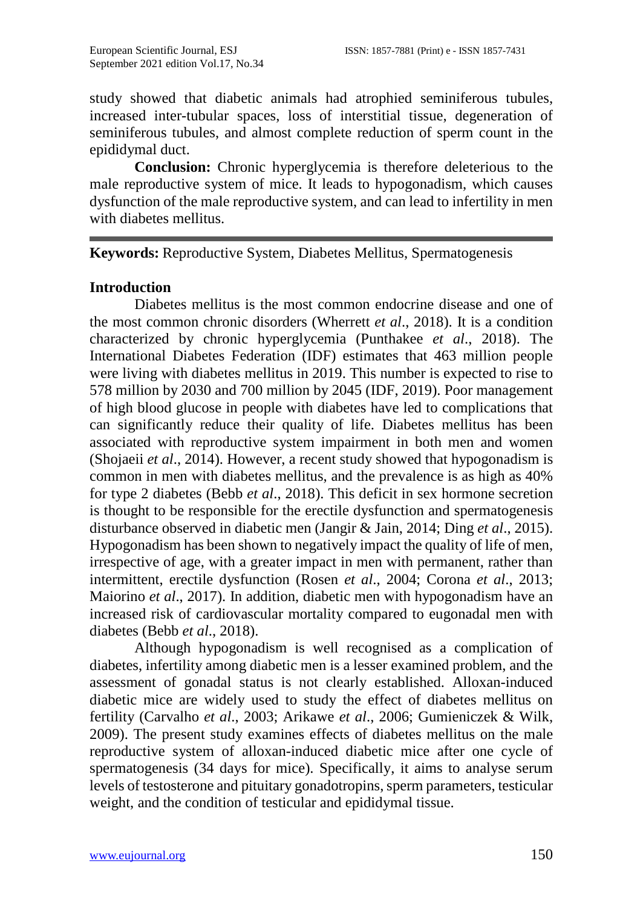study showed that diabetic animals had atrophied seminiferous tubules, increased inter-tubular spaces, loss of interstitial tissue, degeneration of seminiferous tubules, and almost complete reduction of sperm count in the epididymal duct.

**Conclusion:** Chronic hyperglycemia is therefore deleterious to the male reproductive system of mice. It leads to hypogonadism, which causes dysfunction of the male reproductive system, and can lead to infertility in men with diabetes mellitus.

## **Keywords:** Reproductive System, Diabetes Mellitus, Spermatogenesis

#### **Introduction**

Diabetes mellitus is the most common endocrine disease and one of the most common chronic disorders (Wherrett *et al*., 2018). It is a condition characterized by chronic hyperglycemia (Punthakee *et al*., 2018). The International Diabetes Federation (IDF) estimates that 463 million people were living with diabetes mellitus in 2019. This number is expected to rise to 578 million by 2030 and 700 million by 2045 (IDF, 2019). Poor management of high blood glucose in people with diabetes have led to complications that can significantly reduce their quality of life. Diabetes mellitus has been associated with reproductive system impairment in both men and women (Shojaeii *et al*., 2014). However, a recent study showed that hypogonadism is common in men with diabetes mellitus, and the prevalence is as high as 40% for type 2 diabetes (Bebb *et al*., 2018). This deficit in sex hormone secretion is thought to be responsible for the erectile dysfunction and spermatogenesis disturbance observed in diabetic men (Jangir & Jain, 2014; Ding *et al*., 2015). Hypogonadism has been shown to negatively impact the quality of life of men, irrespective of age, with a greater impact in men with permanent, rather than intermittent, erectile dysfunction (Rosen *et al*., 2004; Corona *et al*., 2013; Maiorino *et al*., 2017). In addition, diabetic men with hypogonadism have an increased risk of cardiovascular mortality compared to eugonadal men with diabetes (Bebb *et al*., 2018).

Although hypogonadism is well recognised as a complication of diabetes, infertility among diabetic men is a lesser examined problem, and the assessment of gonadal status is not clearly established. Alloxan-induced diabetic mice are widely used to study the effect of diabetes mellitus on fertility (Carvalho *et al*., 2003; Arikawe *et al*., 2006; Gumieniczek & Wilk, 2009). The present study examines effects of diabetes mellitus on the male reproductive system of alloxan-induced diabetic mice after one cycle of spermatogenesis (34 days for mice). Specifically, it aims to analyse serum levels of testosterone and pituitary gonadotropins, sperm parameters, testicular weight, and the condition of testicular and epididymal tissue.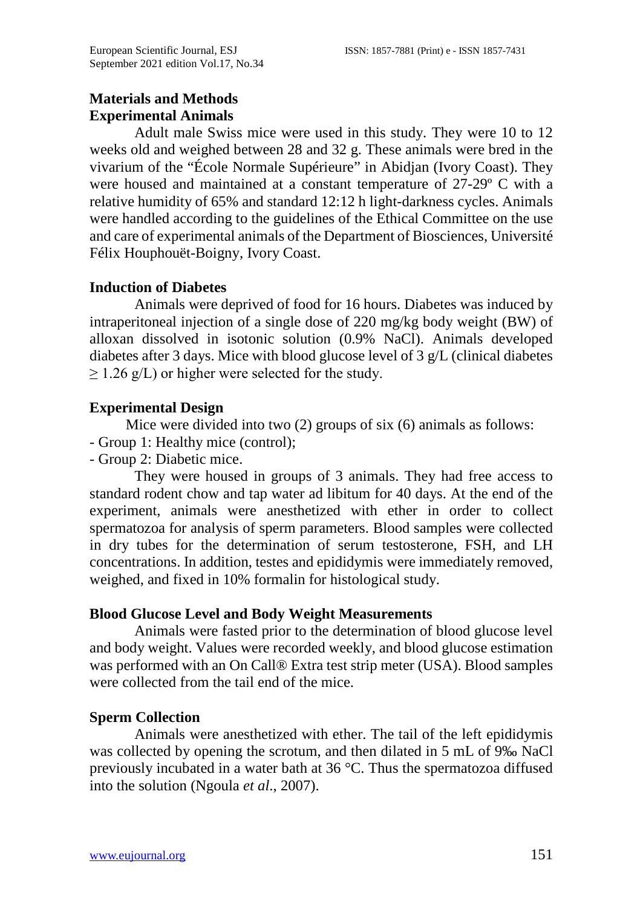## **Materials and Methods Experimental Animals**

Adult male Swiss mice were used in this study. They were 10 to 12 weeks old and weighed between 28 and 32 g. These animals were bred in the vivarium of the "École Normale Supérieure" in Abidjan (Ivory Coast). They were housed and maintained at a constant temperature of 27-29º C with a relative humidity of 65% and standard 12:12 h light-darkness cycles. Animals were handled according to the guidelines of the Ethical Committee on the use and care of experimental animals of the Department of Biosciences, Université Félix Houphouët-Boigny, Ivory Coast.

## **Induction of Diabetes**

Animals were deprived of food for 16 hours. Diabetes was induced by intraperitoneal injection of a single dose of 220 mg/kg body weight (BW) of alloxan dissolved in isotonic solution (0.9% NaCl). Animals developed diabetes after 3 days. Mice with blood glucose level of 3 g/L (clinical diabetes  $\geq$  1.26 g/L) or higher were selected for the study.

## **Experimental Design**

Mice were divided into two (2) groups of six (6) animals as follows:

- Group 1: Healthy mice (control);
- Group 2: Diabetic mice.

They were housed in groups of 3 animals. They had free access to standard rodent chow and tap water ad libitum for 40 days. At the end of the experiment, animals were anesthetized with ether in order to collect spermatozoa for analysis of sperm parameters. Blood samples were collected in dry tubes for the determination of serum testosterone, FSH, and LH concentrations. In addition, testes and epididymis were immediately removed, weighed, and fixed in 10% formalin for histological study.

## **Blood Glucose Level and Body Weight Measurements**

Animals were fasted prior to the determination of blood glucose level and body weight. Values were recorded weekly, and blood glucose estimation was performed with an On Call® Extra test strip meter (USA). Blood samples were collected from the tail end of the mice.

## **Sperm Collection**

Animals were anesthetized with ether. The tail of the left epididymis was collected by opening the scrotum, and then dilated in 5 mL of 9‰ NaCl previously incubated in a water bath at 36 °C. Thus the spermatozoa diffused into the solution (Ngoula *et al*., 2007).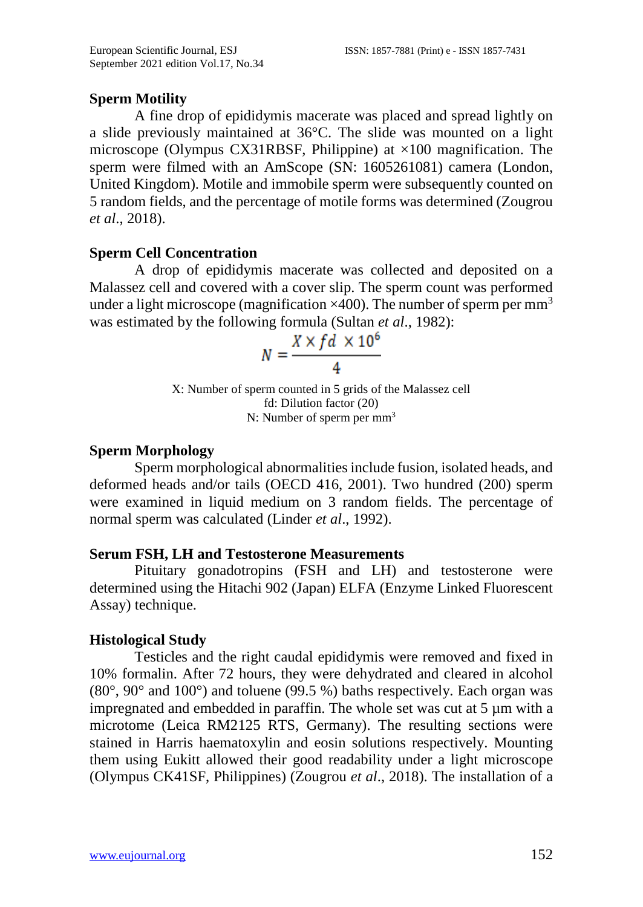## **Sperm Motility**

A fine drop of epididymis macerate was placed and spread lightly on a slide previously maintained at 36°C. The slide was mounted on a light microscope (Olympus CX31RBSF, Philippine) at  $\times$ 100 magnification. The sperm were filmed with an AmScope (SN: 1605261081) camera (London, United Kingdom). Motile and immobile sperm were subsequently counted on 5 random fields, and the percentage of motile forms was determined (Zougrou *et al*., 2018).

## **Sperm Cell Concentration**

A drop of epididymis macerate was collected and deposited on a Malassez cell and covered with a cover slip. The sperm count was performed under a light microscope (magnification  $\times$ 400). The number of sperm per mm<sup>3</sup> was estimated by the following formula (Sultan *et al*., 1982):

$$
N = \frac{X \times fd \times 10^6}{4}
$$

X: Number of sperm counted in 5 grids of the Malassez cell fd: Dilution factor (20) N: Number of sperm per mm3

#### **Sperm Morphology**

Sperm morphological abnormalities include fusion, isolated heads, and deformed heads and/or tails (OECD 416, 2001). Two hundred (200) sperm were examined in liquid medium on 3 random fields. The percentage of normal sperm was calculated (Linder *et al*., 1992).

#### **Serum FSH, LH and Testosterone Measurements**

Pituitary gonadotropins (FSH and LH) and testosterone were determined using the Hitachi 902 (Japan) ELFA (Enzyme Linked Fluorescent Assay) technique.

## **Histological Study**

Testicles and the right caudal epididymis were removed and fixed in 10% formalin. After 72 hours, they were dehydrated and cleared in alcohol  $(80^{\circ}, 90^{\circ}$  and  $100^{\circ})$  and toluene (99.5 %) baths respectively. Each organ was impregnated and embedded in paraffin. The whole set was cut at  $5 \mu m$  with a microtome (Leica RM2125 RTS, Germany). The resulting sections were stained in Harris haematoxylin and eosin solutions respectively. Mounting them using Eukitt allowed their good readability under a light microscope (Olympus CK41SF, Philippines) (Zougrou *et al*., 2018). The installation of a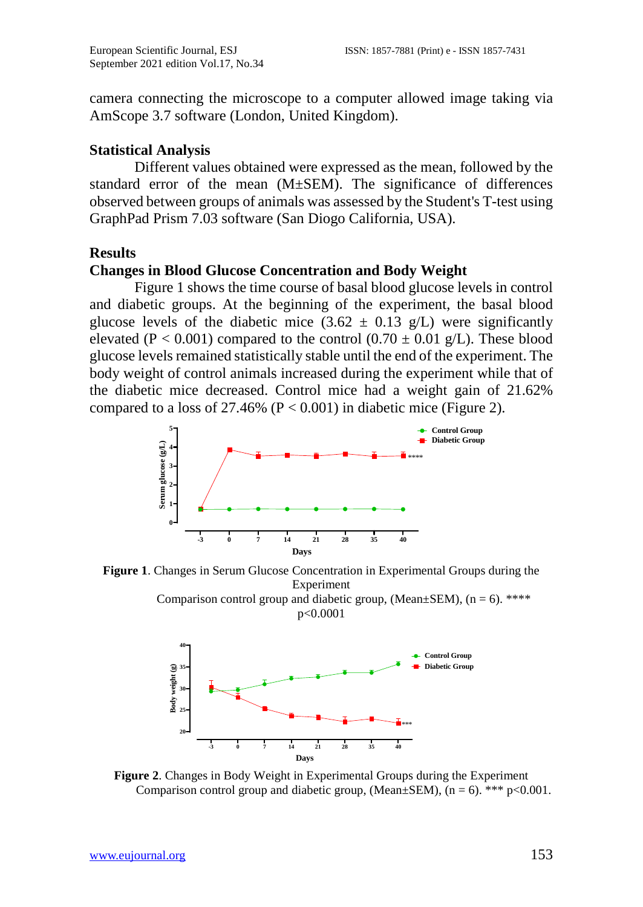camera connecting the microscope to a computer allowed image taking via AmScope 3.7 software (London, United Kingdom).

#### **Statistical Analysis**

Different values obtained were expressed as the mean, followed by the standard error of the mean (M±SEM). The significance of differences observed between groups of animals was assessed by the Student's T-test using GraphPad Prism 7.03 software (San Diogo California, USA).

## **Results**

#### **Changes in Blood Glucose Concentration and Body Weight**

Figure 1 shows the time course of basal blood glucose levels in control and diabetic groups. At the beginning of the experiment, the basal blood glucose levels of the diabetic mice  $(3.62 \pm 0.13 \text{ g/L})$  were significantly elevated (P < 0.001) compared to the control (0.70  $\pm$  0.01 g/L). These blood glucose levels remained statistically stable until the end of the experiment. The body weight of control animals increased during the experiment while that of the diabetic mice decreased. Control mice had a weight gain of 21.62% compared to a loss of  $27.46\%$  (P < 0.001) in diabetic mice (Figure 2).



**Figure 1**. Changes in Serum Glucose Concentration in Experimental Groups during the Experiment Comparison control group and diabetic group, (Mean $\pm$ SEM), (n = 6). \*\*\*\*





**Figure 2**. Changes in Body Weight in Experimental Groups during the Experiment Comparison control group and diabetic group, (Mean $\pm$ SEM), (n = 6). \*\*\* p<0.001.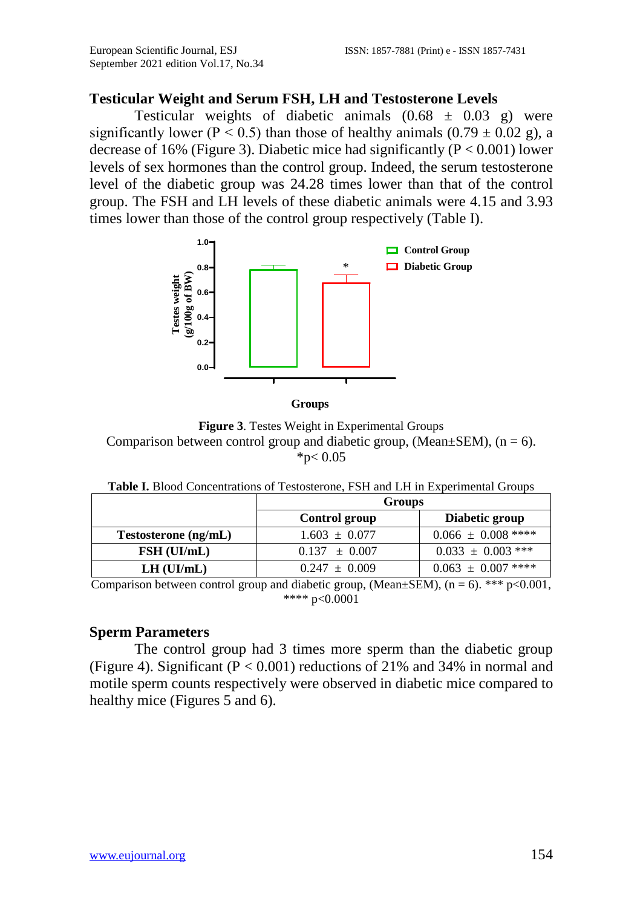#### **Testicular Weight and Serum FSH, LH and Testosterone Levels**

Testicular weights of diabetic animals  $(0.68 \pm 0.03 \text{ g})$  were significantly lower ( $P < 0.5$ ) than those of healthy animals (0.79  $\pm$  0.02 g), a decrease of 16% (Figure 3). Diabetic mice had significantly ( $P < 0.001$ ) lower levels of sex hormones than the control group. Indeed, the serum testosterone level of the diabetic group was 24.28 times lower than that of the control group. The FSH and LH levels of these diabetic animals were 4.15 and 3.93 times lower than those of the control group respectively (Table I).



**Groups**

**Figure 3**. Testes Weight in Experimental Groups Comparison between control group and diabetic group, (Mean $\pm$ SEM), (n = 6).  $*p<0.05$ 

| <b>Table I.</b> Blood Concentrations of Testosterone, FSH and LH in Experimental Groups |  |  |
|-----------------------------------------------------------------------------------------|--|--|
|-----------------------------------------------------------------------------------------|--|--|

|                      | Groups            |                        |
|----------------------|-------------------|------------------------|
|                      | Control group     | Diabetic group         |
| Testosterone (ng/mL) | $1.603 \pm 0.077$ | $0.066 \pm 0.008$ **** |
| FSH (UI/mL)          | $0.137 \pm 0.007$ | $0.033 \pm 0.003$ ***  |
| $LH$ (UI/mL)         | $0.247 \pm 0.009$ | $0.063 \pm 0.007$ **** |

Comparison between control group and diabetic group,  $(\overline{Mean} \pm \overline{SEM})$ ,  $(n = 6)$ . \*\*\* p<0.001, \*\*\*\* p<0.0001

#### **Sperm Parameters**

The control group had 3 times more sperm than the diabetic group (Figure 4). Significant ( $P < 0.001$ ) reductions of 21% and 34% in normal and motile sperm counts respectively were observed in diabetic mice compared to healthy mice (Figures 5 and 6).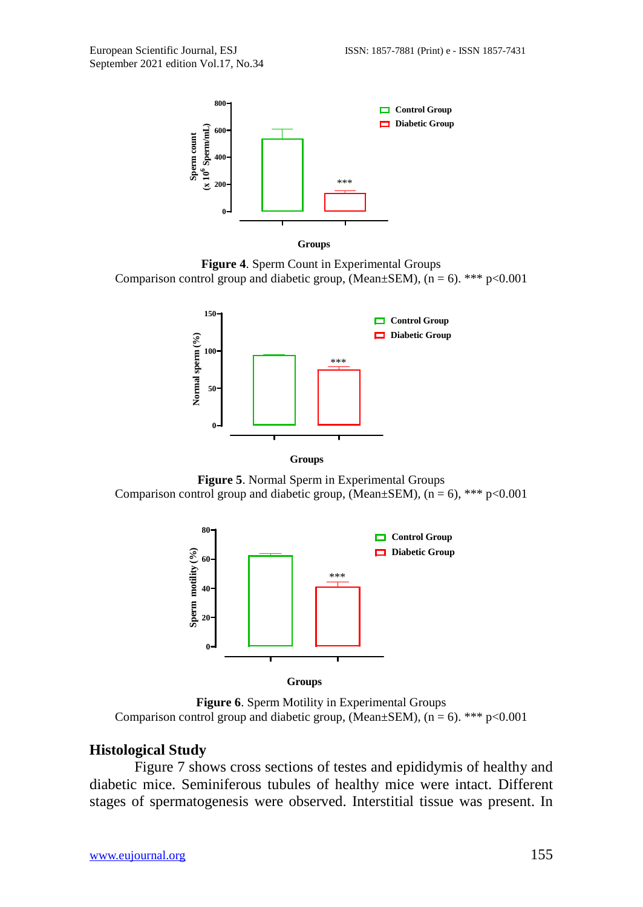

**Groups**

**Figure 4**. Sperm Count in Experimental Groups Comparison control group and diabetic group, (Mean $\pm$ SEM), (n = 6). \*\*\* p<0.001



**Figure 5**. Normal Sperm in Experimental Groups Comparison control group and diabetic group, (Mean $\pm$ SEM), (n = 6), \*\*\* p<0.001



**Groups**

**Figure 6**. Sperm Motility in Experimental Groups Comparison control group and diabetic group, (Mean $\pm$ SEM), (n = 6). \*\*\* p<0.001

#### **Histological Study**

Figure 7 shows cross sections of testes and epididymis of healthy and diabetic mice. Seminiferous tubules of healthy mice were intact. Different stages of spermatogenesis were observed. Interstitial tissue was present. In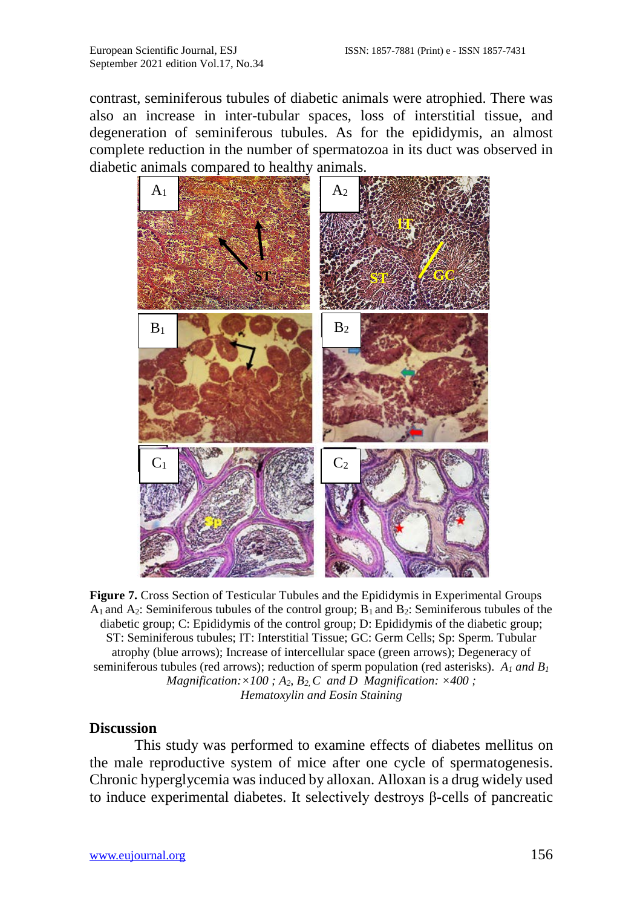contrast, seminiferous tubules of diabetic animals were atrophied. There was also an increase in inter-tubular spaces, loss of interstitial tissue, and degeneration of seminiferous tubules. As for the epididymis, an almost complete reduction in the number of spermatozoa in its duct was observed in diabetic animals compared to healthy animals.



**Figure 7.** Cross Section of Testicular Tubules and the Epididymis in Experimental Groups  $A_1$  and  $A_2$ : Seminiferous tubules of the control group;  $B_1$  and  $B_2$ : Seminiferous tubules of the diabetic group; C: Epididymis of the control group; D: Epididymis of the diabetic group; ST: Seminiferous tubules; IT: Interstitial Tissue; GC: Germ Cells; Sp: Sperm. Tubular atrophy (blue arrows); Increase of intercellular space (green arrows); Degeneracy of seminiferous tubules (red arrows); reduction of sperm population (red asterisks).  $A_1$  *and B<sub>1</sub> Magnification:* $\times$ 100;  $A_2$ ,  $B_2$ ,  $C$  *and D Magnification:*  $\times$ 400; *Hematoxylin and Eosin Staining*

#### **Discussion**

This study was performed to examine effects of diabetes mellitus on the male reproductive system of mice after one cycle of spermatogenesis. Chronic hyperglycemia was induced by alloxan. Alloxan is a drug widely used to induce experimental diabetes. It selectively destroys β-cells of pancreatic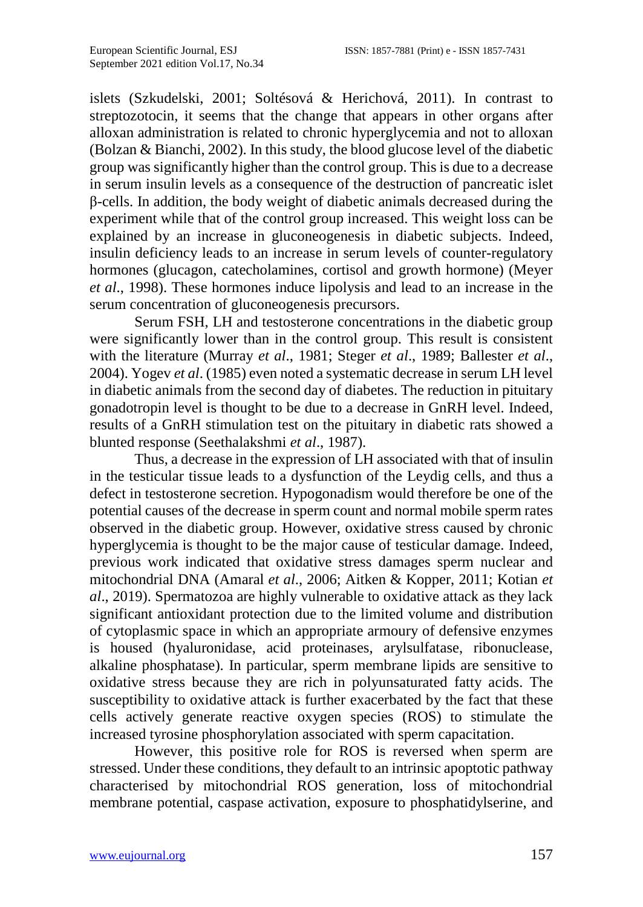islets (Szkudelski, 2001; Soltésová & Herichová, 2011). In contrast to streptozotocin, it seems that the change that appears in other organs after alloxan administration is related to chronic hyperglycemia and not to alloxan (Bolzan & Bianchi, 2002). In this study, the blood glucose level of the diabetic group was significantly higher than the control group. This is due to a decrease in serum insulin levels as a consequence of the destruction of pancreatic islet β-cells. In addition, the body weight of diabetic animals decreased during the experiment while that of the control group increased. This weight loss can be explained by an increase in gluconeogenesis in diabetic subjects. Indeed, insulin deficiency leads to an increase in serum levels of counter-regulatory hormones (glucagon, catecholamines, cortisol and growth hormone) (Meyer *et al*., 1998). These hormones induce lipolysis and lead to an increase in the serum concentration of gluconeogenesis precursors.

Serum FSH, LH and testosterone concentrations in the diabetic group were significantly lower than in the control group. This result is consistent with the literature (Murray *et al*., 1981; Steger *et al*., 1989; Ballester *et al*., 2004). Yogev *et al*. (1985) even noted a systematic decrease in serum LH level in diabetic animals from the second day of diabetes. The reduction in pituitary gonadotropin level is thought to be due to a decrease in GnRH level. Indeed, results of a GnRH stimulation test on the pituitary in diabetic rats showed a blunted response (Seethalakshmi *et al*., 1987).

Thus, a decrease in the expression of LH associated with that of insulin in the testicular tissue leads to a dysfunction of the Leydig cells, and thus a defect in testosterone secretion. Hypogonadism would therefore be one of the potential causes of the decrease in sperm count and normal mobile sperm rates observed in the diabetic group. However, oxidative stress caused by chronic hyperglycemia is thought to be the major cause of testicular damage. Indeed, previous work indicated that oxidative stress damages sperm nuclear and mitochondrial DNA (Amaral *et al*., 2006; Aitken & Kopper, 2011; Kotian *et al*., 2019). Spermatozoa are highly vulnerable to oxidative attack as they lack significant antioxidant protection due to the limited volume and distribution of cytoplasmic space in which an appropriate armoury of defensive enzymes is housed (hyaluronidase, acid proteinases, arylsulfatase, ribonuclease, alkaline phosphatase). In particular, sperm membrane lipids are sensitive to oxidative stress because they are rich in polyunsaturated fatty acids. The susceptibility to oxidative attack is further exacerbated by the fact that these cells actively generate reactive oxygen species (ROS) to stimulate the increased tyrosine phosphorylation associated with sperm capacitation.

However, this positive role for ROS is reversed when sperm are stressed. Under these conditions, they default to an intrinsic apoptotic pathway characterised by mitochondrial ROS generation, loss of mitochondrial membrane potential, caspase activation, exposure to phosphatidylserine, and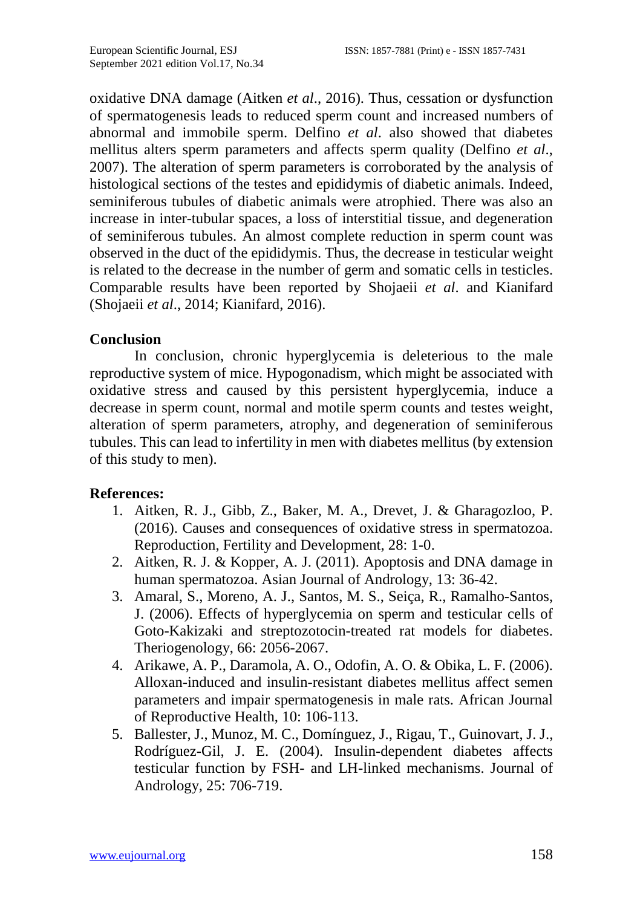oxidative DNA damage (Aitken *et al*., 2016). Thus, cessation or dysfunction of spermatogenesis leads to reduced sperm count and increased numbers of abnormal and immobile sperm. Delfino *et al*. also showed that diabetes mellitus alters sperm parameters and affects sperm quality (Delfino *et al*., 2007). The alteration of sperm parameters is corroborated by the analysis of histological sections of the testes and epididymis of diabetic animals. Indeed, seminiferous tubules of diabetic animals were atrophied. There was also an increase in inter-tubular spaces, a loss of interstitial tissue, and degeneration of seminiferous tubules. An almost complete reduction in sperm count was observed in the duct of the epididymis. Thus, the decrease in testicular weight is related to the decrease in the number of germ and somatic cells in testicles. Comparable results have been reported by Shojaeii *et al*. and Kianifard (Shojaeii *et al*., 2014; Kianifard, 2016).

#### **Conclusion**

In conclusion, chronic hyperglycemia is deleterious to the male reproductive system of mice. Hypogonadism, which might be associated with oxidative stress and caused by this persistent hyperglycemia, induce a decrease in sperm count, normal and motile sperm counts and testes weight, alteration of sperm parameters, atrophy, and degeneration of seminiferous tubules. This can lead to infertility in men with diabetes mellitus (by extension of this study to men).

#### **References:**

- 1. Aitken, R. J., Gibb, Z., Baker, M. A., Drevet, J. & Gharagozloo, P. (2016). Causes and consequences of oxidative stress in spermatozoa. Reproduction, Fertility and Development, 28: 1-0.
- 2. Aitken, R. J. & Kopper, A. J. (2011). Apoptosis and DNA damage in human spermatozoa. Asian Journal of Andrology, 13: 36-42.
- 3. Amaral, S., Moreno, A. J., Santos, M. S., Seiça, R., Ramalho-Santos, J. (2006). Effects of hyperglycemia on sperm and testicular cells of Goto-Kakizaki and streptozotocin-treated rat models for diabetes. Theriogenology, 66: 2056-2067.
- 4. Arikawe, A. P., Daramola, A. O., Odofin, A. O. & Obika, L. F. (2006). Alloxan-induced and insulin-resistant diabetes mellitus affect semen parameters and impair spermatogenesis in male rats. African Journal of Reproductive Health, 10: 106-113.
- 5. Ballester, J., Munoz, M. C., Domínguez, J., Rigau, T., Guinovart, J. J., Rodríguez-Gil, J. E. (2004). Insulin-dependent diabetes affects testicular function by FSH- and LH-linked mechanisms. Journal of Andrology, 25: 706-719.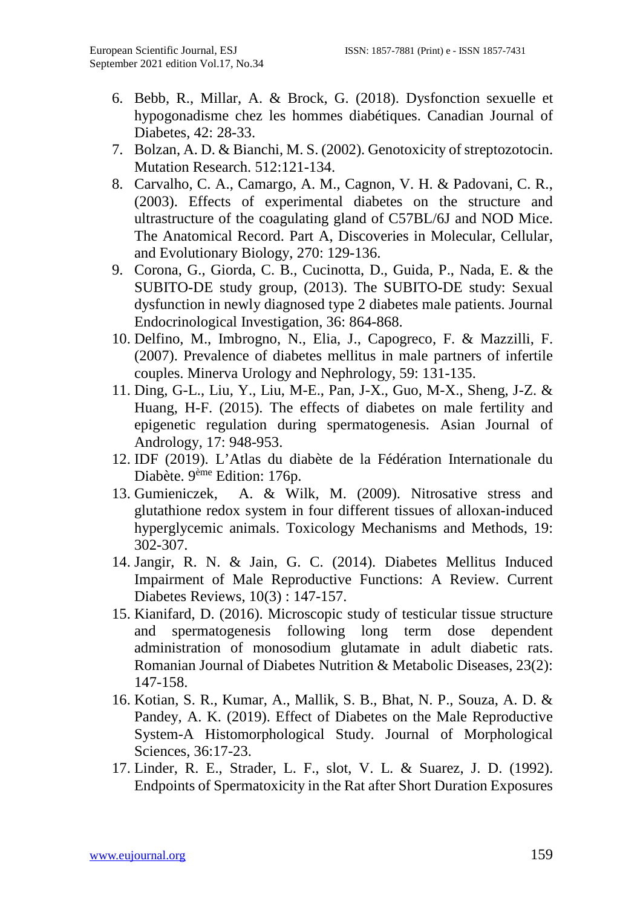- 6. Bebb, R., Millar, A. & Brock, G. (2018). Dysfonction sexuelle et hypogonadisme chez les hommes diabétiques. Canadian Journal of Diabetes, 42: 28-33.
- 7. Bolzan, A. D. & Bianchi, M. S. (2002). Genotoxicity of streptozotocin. Mutation Research. 512:121-134.
- 8. Carvalho, C. A., Camargo, A. M., Cagnon, V. H. & Padovani, C. R., (2003). Effects of experimental diabetes on the structure and ultrastructure of the coagulating gland of C57BL/6J and NOD Mice. The Anatomical Record. Part A, Discoveries in Molecular, Cellular, and Evolutionary Biology, 270: 129-136.
- 9. Corona, G., Giorda, C. B., Cucinotta, D., Guida, P., Nada, E. & the SUBITO-DE study group, (2013). The SUBITO-DE study: Sexual dysfunction in newly diagnosed type 2 diabetes male patients. Journal Endocrinological Investigation, 36: 864-868.
- 10. Delfino, M., Imbrogno, N., Elia, J., Capogreco, F. & Mazzilli, F. (2007). Prevalence of diabetes mellitus in male partners of infertile couples. Minerva Urology and Nephrology, 59: 131-135.
- 11. Ding, G-L., Liu, Y., Liu, M-E., Pan, J-X., Guo, M-X., Sheng, J-Z. & Huang, H-F. (2015). The effects of diabetes on male fertility and epigenetic regulation during spermatogenesis. Asian Journal of Andrology, 17: 948-953.
- 12. IDF (2019). L'Atlas du diabète de la Fédération Internationale du Diabète. 9ème Edition: 176p.
- 13. Gumieniczek, A. & Wilk, M. (2009). Nitrosative stress and glutathione redox system in four different tissues of alloxan-induced hyperglycemic animals. Toxicology Mechanisms and Methods, 19: 302-307.
- 14. Jangir, R. N. & Jain, G. C. (2014). Diabetes Mellitus Induced Impairment of Male Reproductive Functions: A Review. Current Diabetes Reviews, 10(3) : 147-157.
- 15. Kianifard, D. (2016). Microscopic study of testicular tissue structure and spermatogenesis following long term dose dependent administration of monosodium glutamate in adult diabetic rats. Romanian Journal of Diabetes Nutrition & Metabolic Diseases, 23(2): 147-158.
- 16. Kotian, S. R., Kumar, A., Mallik, S. B., Bhat, N. P., Souza, A. D. & Pandey, A. K. (2019). Effect of Diabetes on the Male Reproductive System-A Histomorphological Study. Journal of Morphological Sciences, 36:17-23.
- 17. Linder, R. E., Strader, L. F., slot, V. L. & Suarez, J. D. (1992). Endpoints of Spermatoxicity in the Rat after Short Duration Exposures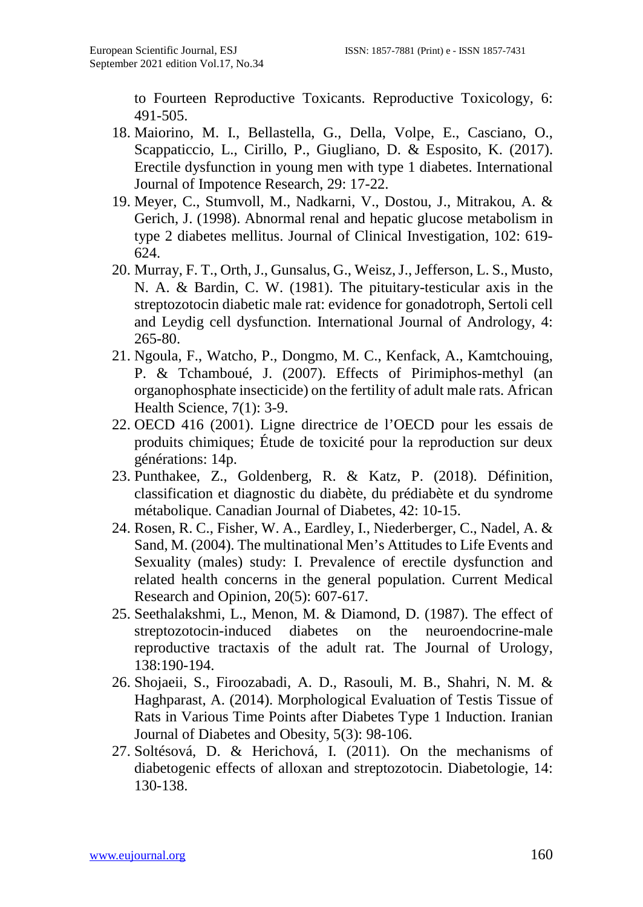to Fourteen Reproductive Toxicants. Reproductive Toxicology, 6: 491-505.

- 18. Maiorino, M. I., Bellastella, G., Della, Volpe, E., Casciano, O., Scappaticcio, L., Cirillo, P., Giugliano, D. & Esposito, K. (2017). Erectile dysfunction in young men with type 1 diabetes. International Journal of Impotence Research, 29: 17-22.
- 19. Meyer, C., Stumvoll, M., Nadkarni, V., Dostou, J., Mitrakou, A. & Gerich, J. (1998). Abnormal renal and hepatic glucose metabolism in type 2 diabetes mellitus. Journal of Clinical Investigation, 102: 619- 624.
- 20. Murray, F. T., Orth, J., Gunsalus, G., Weisz, J., Jefferson, L. S., Musto, N. A. & Bardin, C. W. (1981). The pituitary-testicular axis in the streptozotocin diabetic male rat: evidence for gonadotroph, Sertoli cell and Leydig cell dysfunction. International Journal of Andrology, 4: 265-80.
- 21. Ngoula, F., Watcho, P., Dongmo, M. C., Kenfack, A., Kamtchouing, P. & Tchamboué, J. (2007). Effects of Pirimiphos-methyl (an organophosphate insecticide) on the fertility of adult male rats. African Health Science, 7(1): 3-9.
- 22. OECD 416 (2001). Ligne directrice de l'OECD pour les essais de produits chimiques; Étude de toxicité pour la reproduction sur deux générations: 14p.
- 23. Punthakee, Z., Goldenberg, R. & Katz, P. (2018). Définition, classification et diagnostic du diabète, du prédiabète et du syndrome métabolique. Canadian Journal of Diabetes, 42: 10-15.
- 24. Rosen, R. C., Fisher, W. A., Eardley, I., Niederberger, C., Nadel, A. & Sand, M. (2004). The multinational Men's Attitudes to Life Events and Sexuality (males) study: I. Prevalence of erectile dysfunction and related health concerns in the general population. Current Medical Research and Opinion, 20(5): 607-617.
- 25. Seethalakshmi, L., Menon, M. & Diamond, D. (1987). The effect of streptozotocin-induced diabetes on the neuroendocrine-male reproductive tractaxis of the adult rat. The Journal of Urology, 138:190-194.
- 26. Shojaeii, S., Firoozabadi, A. D., Rasouli, M. B., Shahri, N. M. & Haghparast, A. (2014). Morphological Evaluation of Testis Tissue of Rats in Various Time Points after Diabetes Type 1 Induction. Iranian Journal of Diabetes and Obesity, 5(3): 98-106.
- 27. Soltésová, D. & Herichová, I. (2011). On the mechanisms of diabetogenic effects of alloxan and streptozotocin. Diabetologie, 14: 130-138.